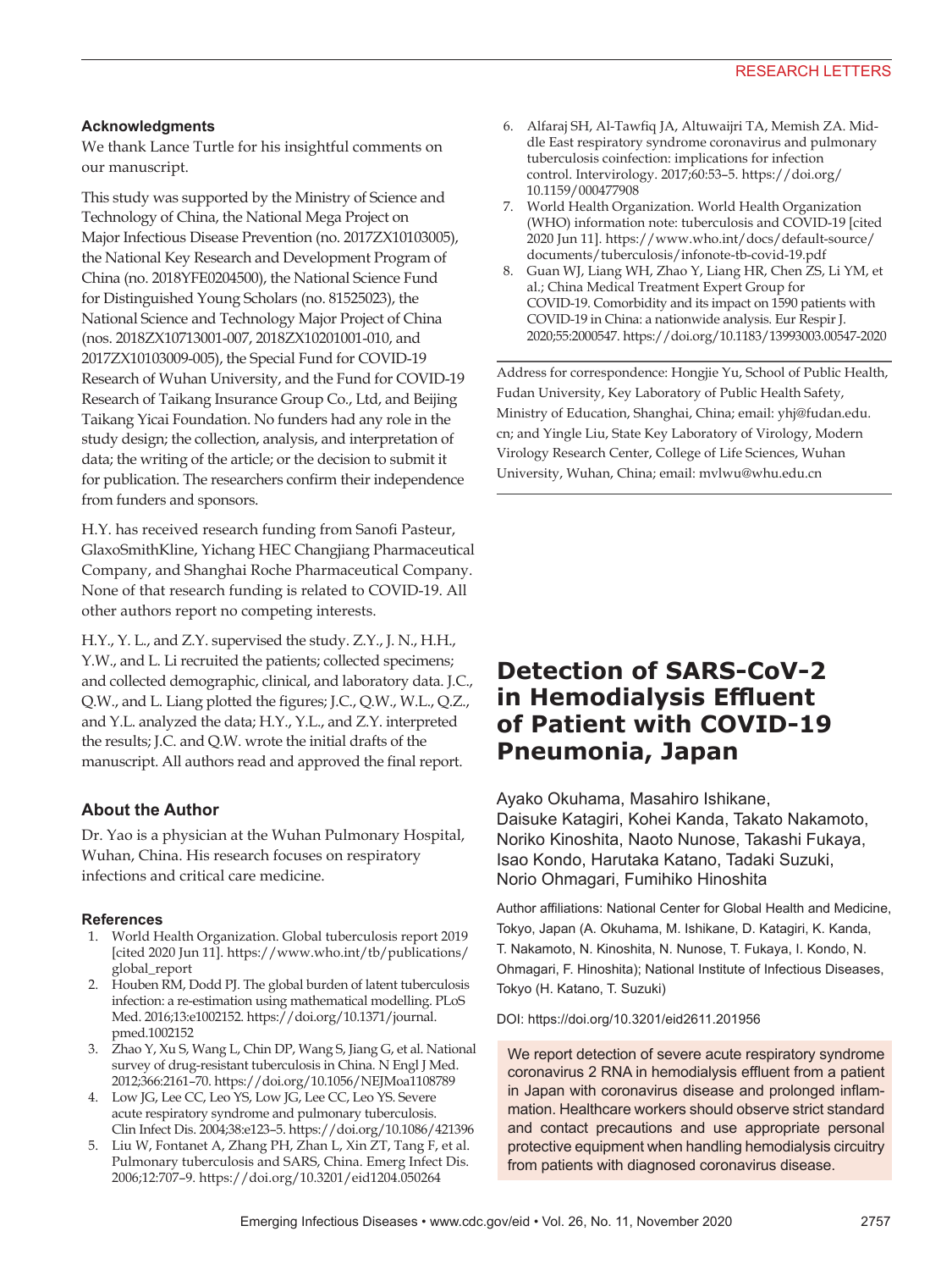## **Acknowledgments**

We thank Lance Turtle for his insightful comments on our manuscript.

This study was supported by the Ministry of Science and Technology of China, the National Mega Project on Major Infectious Disease Prevention (no. 2017ZX10103005), the National Key Research and Development Program of China (no. 2018YFE0204500), the National Science Fund for Distinguished Young Scholars (no. 81525023), the National Science and Technology Major Project of China (nos. 2018ZX10713001-007, 2018ZX10201001-010, and 2017ZX10103009-005), the Special Fund for COVID-19 Research of Wuhan University, and the Fund for COVID-19 Research of Taikang Insurance Group Co., Ltd, and Beijing Taikang Yicai Foundation. No funders had any role in the study design; the collection, analysis, and interpretation of data; the writing of the article; or the decision to submit it for publication. The researchers confirm their independence from funders and sponsors.

H.Y. has received research funding from Sanofi Pasteur, GlaxoSmithKline, Yichang HEC Changjiang Pharmaceutical Company, and Shanghai Roche Pharmaceutical Company. None of that research funding is related to COVID-19. All other authors report no competing interests.

H.Y., Y. L., and Z.Y. supervised the study. Z.Y., J. N., H.H., Y.W., and L. Li recruited the patients; collected specimens; and collected demographic, clinical, and laboratory data. J.C., Q.W., and L. Liang plotted the figures; J.C., Q.W., W.L., Q.Z., and Y.L. analyzed the data; H.Y., Y.L., and Z.Y. interpreted the results; J.C. and Q.W. wrote the initial drafts of the manuscript. All authors read and approved the final report.

## **About the Author**

Dr. Yao is a physician at the Wuhan Pulmonary Hospital, Wuhan, China. His research focuses on respiratory infections and critical care medicine.

#### **References**

- 1. World Health Organization. Global tuberculosis report 2019 [cited 2020 Jun 11]. https://www.who.int/tb/publications/ global\_report
- 2. Houben RM, Dodd PJ. The global burden of latent tuberculosis infection: a re-estimation using mathematical modelling. PLoS Med. 2016;13:e1002152. https://doi.org/10.1371/journal. pmed.1002152
- 3. Zhao Y, Xu S, Wang L, Chin DP, Wang S, Jiang G, et al. National survey of drug-resistant tuberculosis in China. N Engl J Med. 2012;366:2161–70. https://doi.org/10.1056/NEJMoa1108789
- 4. Low JG, Lee CC, Leo YS, Low JG, Lee CC, Leo YS. Severe acute respiratory syndrome and pulmonary tuberculosis. Clin Infect Dis. 2004;38:e123–5. https://doi.org/10.1086/421396
- 5. Liu W, Fontanet A, Zhang PH, Zhan L, Xin ZT, Tang F, et al. Pulmonary tuberculosis and SARS, China. Emerg Infect Dis. 2006;12:707–9. https://doi.org/10.3201/eid1204.050264
- 6. Alfaraj SH, Al-Tawfiq JA, Altuwaijri TA, Memish ZA. Middle East respiratory syndrome coronavirus and pulmonary tuberculosis coinfection: implications for infection control. Intervirology. 2017;60:53–5. https://doi.org/ 10.1159/000477908
- 7. World Health Organization. World Health Organization (WHO) information note: tuberculosis and COVID-19 [cited 2020 Jun 11]. https://www.who.int/docs/default-source/ documents/tuberculosis/infonote-tb-covid-19.pdf
- 8. Guan WJ, Liang WH, Zhao Y, Liang HR, Chen ZS, Li YM, et al.; China Medical Treatment Expert Group for COVID-19. Comorbidity and its impact on 1590 patients with COVID-19 in China: a nationwide analysis. Eur Respir J. 2020;55:2000547. https://doi.org/10.1183/13993003.00547-2020

Address for correspondence: Hongjie Yu, School of Public Health, Fudan University, Key Laboratory of Public Health Safety, Ministry of Education, Shanghai, China; email: yhj@fudan.edu. cn; and Yingle Liu, State Key Laboratory of Virology, Modern Virology Research Center, College of Life Sciences, Wuhan University, Wuhan, China; email: mvlwu@whu.edu.cn

## **Detection of SARS-CoV-2 in Hemodialysis Effluent of Patient with COVID-19 Pneumonia, Japan**

Ayako Okuhama, Masahiro Ishikane, Daisuke Katagiri, Kohei Kanda, Takato Nakamoto, Noriko Kinoshita, Naoto Nunose, Takashi Fukaya, Isao Kondo, Harutaka Katano, Tadaki Suzuki, Norio Ohmagari, Fumihiko Hinoshita

Author affiliations: National Center for Global Health and Medicine, Tokyo, Japan (A. Okuhama, M. Ishikane, D. Katagiri, K. Kanda, T. Nakamoto, N. Kinoshita, N. Nunose, T. Fukaya, I. Kondo, N. Ohmagari, F. Hinoshita); National Institute of Infectious Diseases, Tokyo (H. Katano, T. Suzuki)

DOI: https://doi.org/10.3201/eid2611.201956

We report detection of severe acute respiratory syndrome coronavirus 2 RNA in hemodialysis effluent from a patient in Japan with coronavirus disease and prolonged inflammation. Healthcare workers should observe strict standard and contact precautions and use appropriate personal protective equipment when handling hemodialysis circuitry from patients with diagnosed coronavirus disease.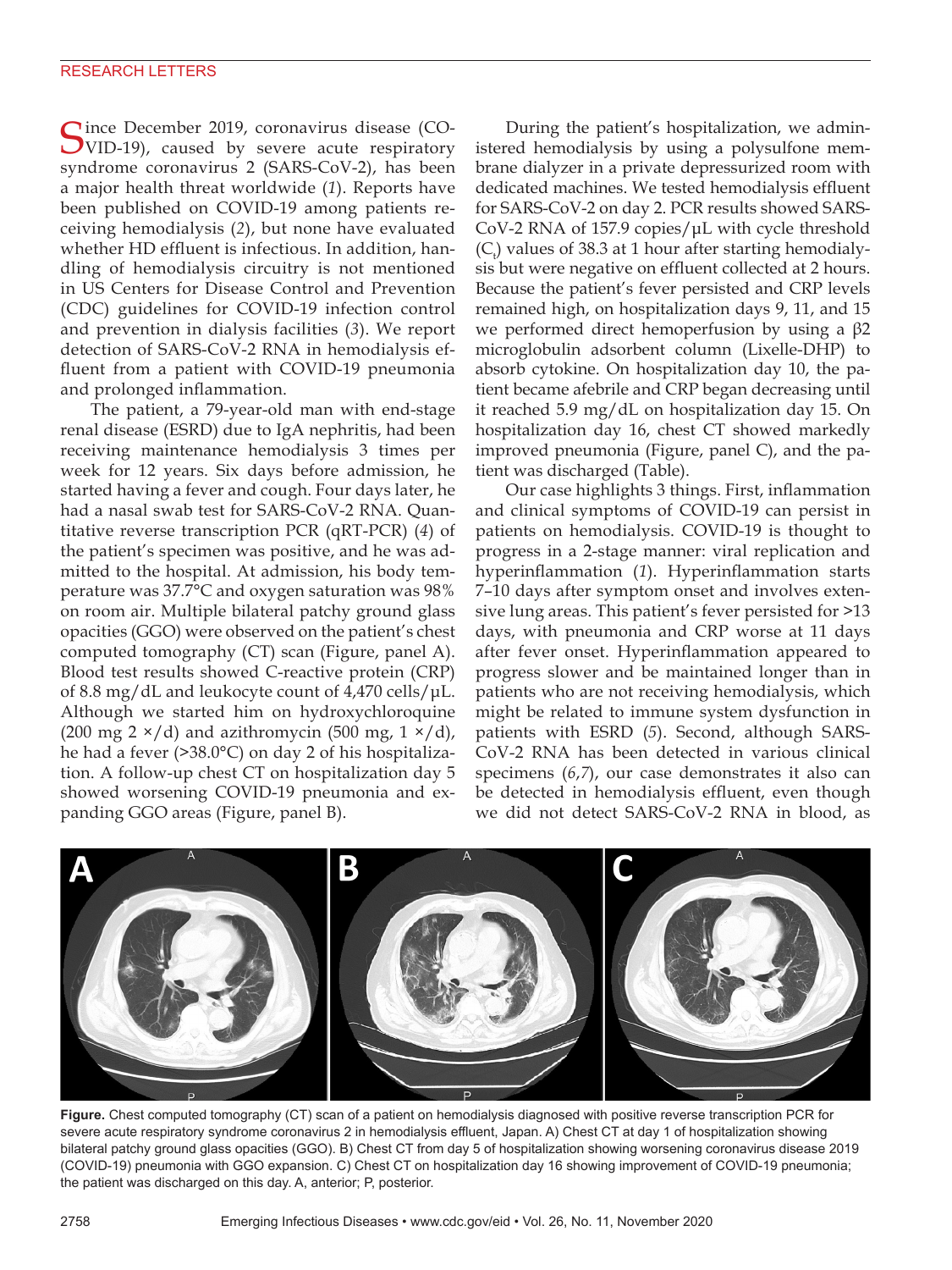Since December 2019, coronavirus disease (CO-VID-19), caused by severe acute respiratory syndrome coronavirus 2 (SARS-CoV-2), has been a major health threat worldwide (*1*). Reports have been published on COVID-19 among patients receiving hemodialysis (*2*), but none have evaluated whether HD effluent is infectious. In addition, handling of hemodialysis circuitry is not mentioned in US Centers for Disease Control and Prevention (CDC) guidelines for COVID-19 infection control and prevention in dialysis facilities (*3*). We report detection of SARS-CoV-2 RNA in hemodialysis effluent from a patient with COVID-19 pneumonia and prolonged inflammation.

The patient, a 79-year-old man with end-stage renal disease (ESRD) due to IgA nephritis, had been receiving maintenance hemodialysis 3 times per week for 12 years. Six days before admission, he started having a fever and cough. Four days later, he had a nasal swab test for SARS-CoV-2 RNA. Quantitative reverse transcription PCR (qRT-PCR) (*4*) of the patient's specimen was positive, and he was admitted to the hospital. At admission, his body temperature was 37.7°C and oxygen saturation was 98% on room air. Multiple bilateral patchy ground glass opacities (GGO) were observed on the patient's chest computed tomography (CT) scan (Figure, panel A). Blood test results showed C-reactive protein (CRP) of 8.8 mg/dL and leukocyte count of 4,470 cells/μL. Although we started him on hydroxychloroquine (200 mg 2  $\times$ /d) and azithromycin (500 mg, 1  $\times$ /d), he had a fever (>38.0°C) on day 2 of his hospitalization. A follow-up chest CT on hospitalization day 5 showed worsening COVID-19 pneumonia and expanding GGO areas (Figure, panel B).

During the patient's hospitalization, we administered hemodialysis by using a polysulfone membrane dialyzer in a private depressurized room with dedicated machines. We tested hemodialysis effluent for SARS-CoV-2 on day 2. PCR results showed SARS-CoV-2 RNA of 157.9 copies/μL with cycle threshold  $(C<sub>t</sub>)$  values of 38.3 at 1 hour after starting hemodialysis but were negative on effluent collected at 2 hours. Because the patient's fever persisted and CRP levels remained high, on hospitalization days 9, 11, and 15 we performed direct hemoperfusion by using a β2 microglobulin adsorbent column (Lixelle-DHP) to absorb cytokine. On hospitalization day 10, the patient became afebrile and CRP began decreasing until it reached 5.9 mg/dL on hospitalization day 15. On hospitalization day 16, chest CT showed markedly improved pneumonia (Figure, panel C), and the patient was discharged (Table).

Our case highlights 3 things. First, inflammation and clinical symptoms of COVID-19 can persist in patients on hemodialysis. COVID-19 is thought to progress in a 2-stage manner: viral replication and hyperinflammation (*1*). Hyperinflammation starts 7–10 days after symptom onset and involves extensive lung areas. This patient's fever persisted for >13 days, with pneumonia and CRP worse at 11 days after fever onset. Hyperinflammation appeared to progress slower and be maintained longer than in patients who are not receiving hemodialysis, which might be related to immune system dysfunction in patients with ESRD (*5*). Second, although SARS-CoV-2 RNA has been detected in various clinical specimens (*6*,*7*), our case demonstrates it also can be detected in hemodialysis effluent, even though we did not detect SARS-CoV-2 RNA in blood, as



**Figure.** Chest computed tomography (CT) scan of a patient on hemodialysis diagnosed with positive reverse transcription PCR for severe acute respiratory syndrome coronavirus 2 in hemodialysis effluent, Japan. A) Chest CT at day 1 of hospitalization showing bilateral patchy ground glass opacities (GGO). B) Chest CT from day 5 of hospitalization showing worsening coronavirus disease 2019 (COVID-19) pneumonia with GGO expansion. C) Chest CT on hospitalization day 16 showing improvement of COVID-19 pneumonia; the patient was discharged on this day. A, anterior; P, posterior.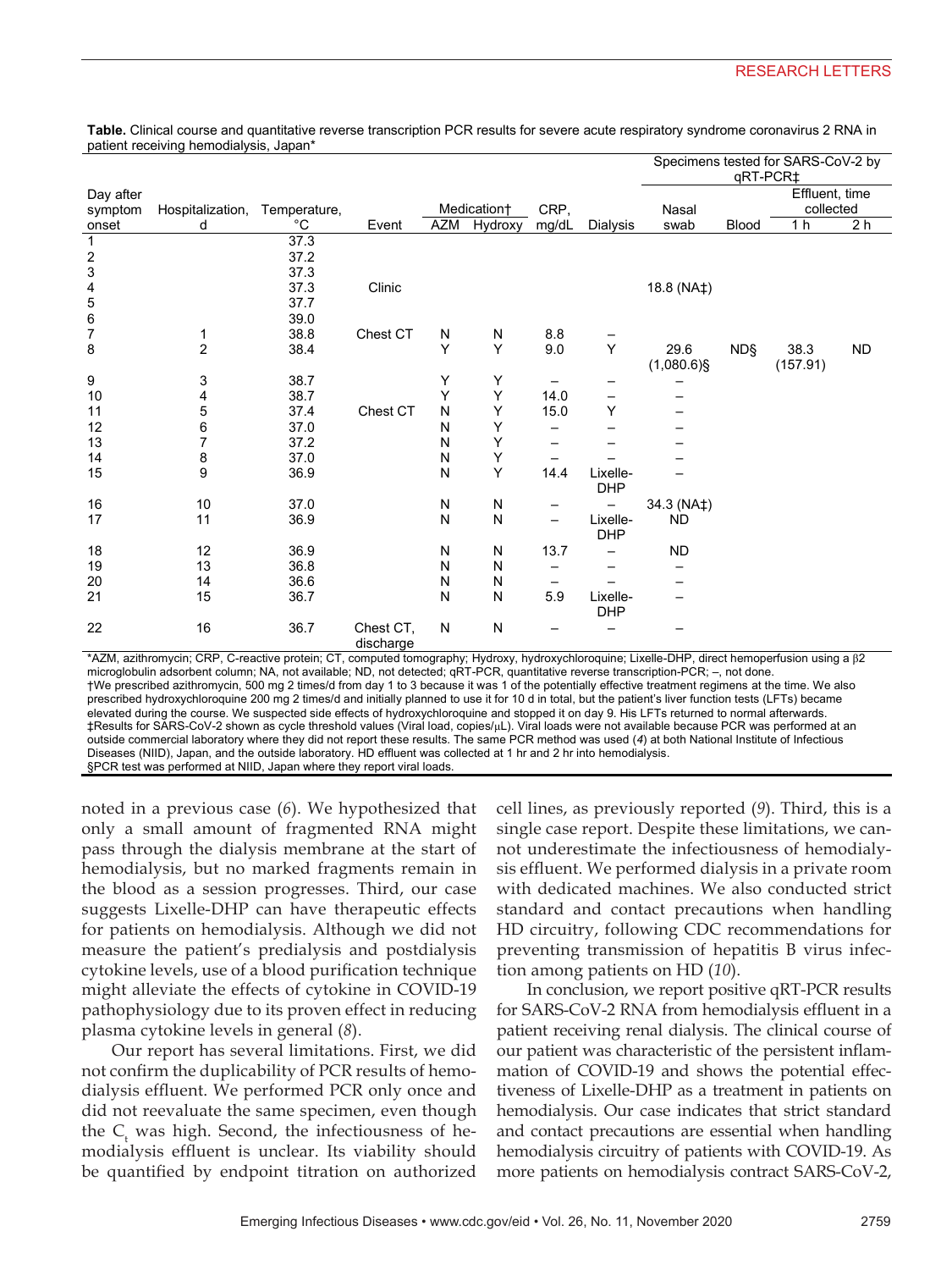|                         |                  |              |           |            |             |                 |                 | Specimens tested for SARS-CoV-2 by |              |                |                |
|-------------------------|------------------|--------------|-----------|------------|-------------|-----------------|-----------------|------------------------------------|--------------|----------------|----------------|
|                         |                  |              |           |            |             |                 |                 | qRT-PCR‡                           |              |                |                |
| Day after               |                  |              |           |            |             |                 |                 |                                    |              | Effluent, time |                |
| symptom                 | Hospitalization, | Temperature, |           |            | Medication+ | CRP,            |                 | collected<br>Nasal                 |              |                |                |
| onset                   | d                | °C           | Event     | <b>AZM</b> | Hydroxy     | mg/dL           | Dialysis        | swab                               | <b>Blood</b> | 1 <sub>h</sub> | 2 <sub>h</sub> |
| $\mathbf{1}$            |                  | 37.3         |           |            |             |                 |                 |                                    |              |                |                |
| $\overline{\mathbf{c}}$ |                  | 37.2         |           |            |             |                 |                 |                                    |              |                |                |
| 3                       |                  | 37.3         |           |            |             |                 |                 |                                    |              |                |                |
|                         |                  | 37.3         | Clinic    |            |             |                 |                 | 18.8 (NA‡)                         |              |                |                |
| $\frac{4}{5}$           |                  | 37.7         |           |            |             |                 |                 |                                    |              |                |                |
| $\,6$                   |                  | 39.0         |           |            |             |                 |                 |                                    |              |                |                |
| $\overline{7}$          | 1                | 38.8         | Chest CT  | N          | N           | 8.8             |                 |                                    |              |                |                |
| 8                       | $\boldsymbol{2}$ | 38.4         |           | Y          | Y           | 9.0             | Υ               | 29.6                               | <b>ND</b> §  | 38.3           | <b>ND</b>      |
|                         |                  |              |           |            |             |                 |                 | $(1,080.6)$ §                      |              | (157.91)       |                |
| 9                       | 3                | 38.7         |           | Υ          | Υ           |                 |                 |                                    |              |                |                |
| 10                      | 4                | 38.7         |           | Υ          | Υ           | 14.0            | $\qquad \qquad$ |                                    |              |                |                |
| 11                      | 5                | 37.4         | Chest CT  | N          | Υ           | 15.0            | Υ               |                                    |              |                |                |
| 12                      | 6                | 37.0         |           | N          | Υ           |                 |                 |                                    |              |                |                |
| 13                      | 7                | 37.2         |           | Ν          | Υ           |                 |                 |                                    |              |                |                |
| 14                      | 8                | 37.0         |           | N          | Υ           |                 |                 |                                    |              |                |                |
| 15                      | 9                | 36.9         |           | N          | Υ           | 14.4            | Lixelle-        |                                    |              |                |                |
|                         |                  |              |           |            |             |                 | <b>DHP</b>      |                                    |              |                |                |
| 16                      | 10               | 37.0         |           | N          | N           |                 |                 | 34.3 (NA‡)                         |              |                |                |
| 17                      | 11               | 36.9         |           | N          | N           | $\qquad \qquad$ | Lixelle-        | ND                                 |              |                |                |
|                         |                  |              |           |            |             |                 | <b>DHP</b>      |                                    |              |                |                |
| 18                      | 12               | 36.9         |           | N          | N           | 13.7            |                 | <b>ND</b>                          |              |                |                |
| 19                      | 13               | 36.8         |           | N          | N           |                 |                 |                                    |              |                |                |
| 20                      | 14               | 36.6         |           | N          | N           | —               |                 |                                    |              |                |                |
| 21                      | 15               | 36.7         |           | N          | N           | 5.9             | Lixelle-        |                                    |              |                |                |
|                         |                  |              |           |            |             |                 | <b>DHP</b>      |                                    |              |                |                |
| 22                      | 16               | 36.7         | Chest CT, | N          | N           |                 |                 |                                    |              |                |                |
|                         |                  |              | discharge |            |             |                 |                 |                                    |              |                |                |

**Table.** Clinical course and quantitative reverse transcription PCR results for severe acute respiratory syndrome coronavirus 2 RNA in patient receiving hemodialysis, Japan\*

\*AZM, azithromycin; CRP, C-reactive protein; CT, computed tomography; Hydroxy, hydroxychloroquine; Lixelle-DHP, direct hemoperfusion using a β2 microglobulin adsorbent column; NA, not available; ND, not detected; qRT-PCR, quantitative reverse transcription-PCR; –, not done. †We prescribed azithromycin, 500 mg 2 times/d from day 1 to 3 because it was 1 of the potentially effective treatment regimens at the time. We also prescribed hydroxychloroquine 200 mg 2 times/d and initially planned to use it for 10 d in total, but the patient's liver function tests (LFTs) became elevated during the course. We suspected side effects of hydroxychloroquine and stopped it on day 9. His LFTs returned to normal afterwards. ‡Results for SARS-CoV-2 shown as cycle threshold values (Viral load, copies/μL). Viral loads were not available because PCR was performed at an outside commercial laboratory where they did not report these results. The same PCR method was used (*4*) at both National Institute of Infectious Diseases (NIID), Japan, and the outside laboratory. HD effluent was collected at 1 hr and 2 hr into hemodialysis. §PCR test was performed at NIID, Japan where they report viral loads.

noted in a previous case (*6*). We hypothesized that only a small amount of fragmented RNA might pass through the dialysis membrane at the start of hemodialysis, but no marked fragments remain in the blood as a session progresses. Third, our case suggests Lixelle-DHP can have therapeutic effects for patients on hemodialysis. Although we did not measure the patient's predialysis and postdialysis cytokine levels, use of a blood purification technique might alleviate the effects of cytokine in COVID-19 pathophysiology due to its proven effect in reducing plasma cytokine levels in general (*8*).

Our report has several limitations. First, we did not confirm the duplicability of PCR results of hemodialysis effluent. We performed PCR only once and did not reevaluate the same specimen, even though the  $C_t$  was high. Second, the infectiousness of hemodialysis effluent is unclear. Its viability should be quantified by endpoint titration on authorized

cell lines, as previously reported (*9*). Third, this is a single case report. Despite these limitations, we cannot underestimate the infectiousness of hemodialysis effluent. We performed dialysis in a private room with dedicated machines. We also conducted strict standard and contact precautions when handling HD circuitry, following CDC recommendations for preventing transmission of hepatitis B virus infection among patients on HD (*10*).

In conclusion, we report positive qRT-PCR results for SARS-CoV-2 RNA from hemodialysis effluent in a patient receiving renal dialysis. The clinical course of our patient was characteristic of the persistent inflammation of COVID-19 and shows the potential effectiveness of Lixelle-DHP as a treatment in patients on hemodialysis. Our case indicates that strict standard and contact precautions are essential when handling hemodialysis circuitry of patients with COVID-19. As more patients on hemodialysis contract SARS-CoV-2,